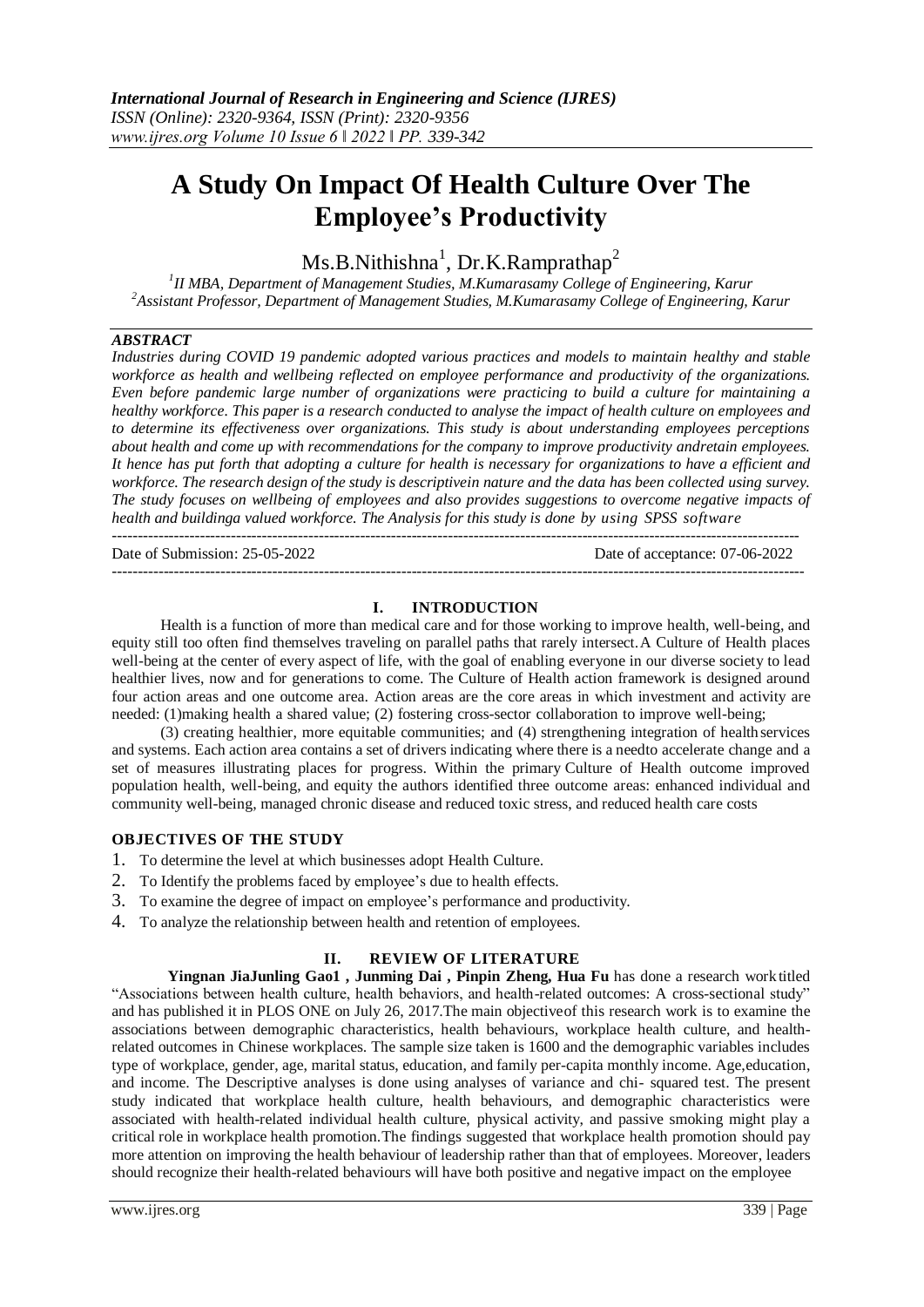# **A Study On Impact Of Health Culture Over The Employee's Productivity**

 $Ms.B.Nithishna<sup>1</sup>, Dr.K.Ramprathap<sup>2</sup>$ 

*1 II MBA, Department of Management Studies, M.Kumarasamy College of Engineering, Karur <sup>2</sup>Assistant Professor, Department of Management Studies, M.Kumarasamy College of Engineering, Karur*

## *ABSTRACT*

*Industries during COVID 19 pandemic adopted various practices and models to maintain healthy and stable workforce as health and wellbeing reflected on employee performance and productivity of the organizations. Even before pandemic large number of organizations were practicing to build a culture for maintaining a healthy workforce. This paper is a research conducted to analyse the impact of health culture on employees and to determine its effectiveness over organizations. This study is about understanding employees perceptions about health and come up with recommendations for the company to improve productivity andretain employees. It hence has put forth that adopting a culture for health is necessary for organizations to have a efficient and workforce. The research design of the study is descriptivein nature and the data has been collected using survey. The study focuses on wellbeing of employees and also provides suggestions to overcome negative impacts of health and buildinga valued workforce. The Analysis for this study is done by using SPSS software* -------------------------------------------------------------------------------------------------------------------------------------

Date of Submission: 25-05-2022 Date of acceptance: 07-06-2022

## **I. INTRODUCTION**

--------------------------------------------------------------------------------------------------------------------------------------

Health is a function of more than medical care and for those working to improve health, well-being, and equity still too often find themselves traveling on parallel paths that rarely intersect.A Culture of Health places well-being at the center of every aspect of life, with the goal of enabling everyone in our diverse society to lead healthier lives, now and for generations to come. The Culture of Health action framework is designed around four action areas and one outcome area. Action areas are the core areas in which investment and activity are needed: (1)making health a shared value; (2) fostering cross-sector collaboration to improve well-being;

(3) creating healthier, more equitable communities; and (4) strengthening integration of healthservices and systems. Each action area contains a set of drivers indicating where there is a needto accelerate change and a set of measures illustrating places for progress. Within the primary Culture of Health outcome improved population health, well-being, and equity the authors identified three outcome areas: enhanced individual and community well-being, managed chronic disease and reduced toxic stress, and reduced health care costs

## **OBJECTIVES OF THE STUDY**

- 1. To determine the level at which businesses adopt Health Culture.
- 2. To Identify the problems faced by employee's due to health effects.
- 3. To examine the degree of impact on employee's performance and productivity.
- 4. To analyze the relationship between health and retention of employees.

## **II. REVIEW OF LITERATURE**

**Yingnan JiaJunling Gao1 , Junming Dai , Pinpin Zheng, Hua Fu** has done a research worktitled "Associations between health culture, health behaviors, and health-related outcomes: A cross-sectional study" and has published it in PLOS ONE on July 26, 2017.The main objectiveof this research work is to examine the associations between demographic characteristics, health behaviours, workplace health culture, and healthrelated outcomes in Chinese workplaces. The sample size taken is 1600 and the demographic variables includes type of workplace, gender, age, marital status, education, and family per-capita monthly income. Age,education, and income. The Descriptive analyses is done using analyses of variance and chi- squared test. The present study indicated that workplace health culture, health behaviours, and demographic characteristics were associated with health-related individual health culture, physical activity, and passive smoking might play a critical role in workplace health promotion.The findings suggested that workplace health promotion should pay more attention on improving the health behaviour of leadership rather than that of employees. Moreover, leaders should recognize their health-related behaviours will have both positive and negative impact on the employee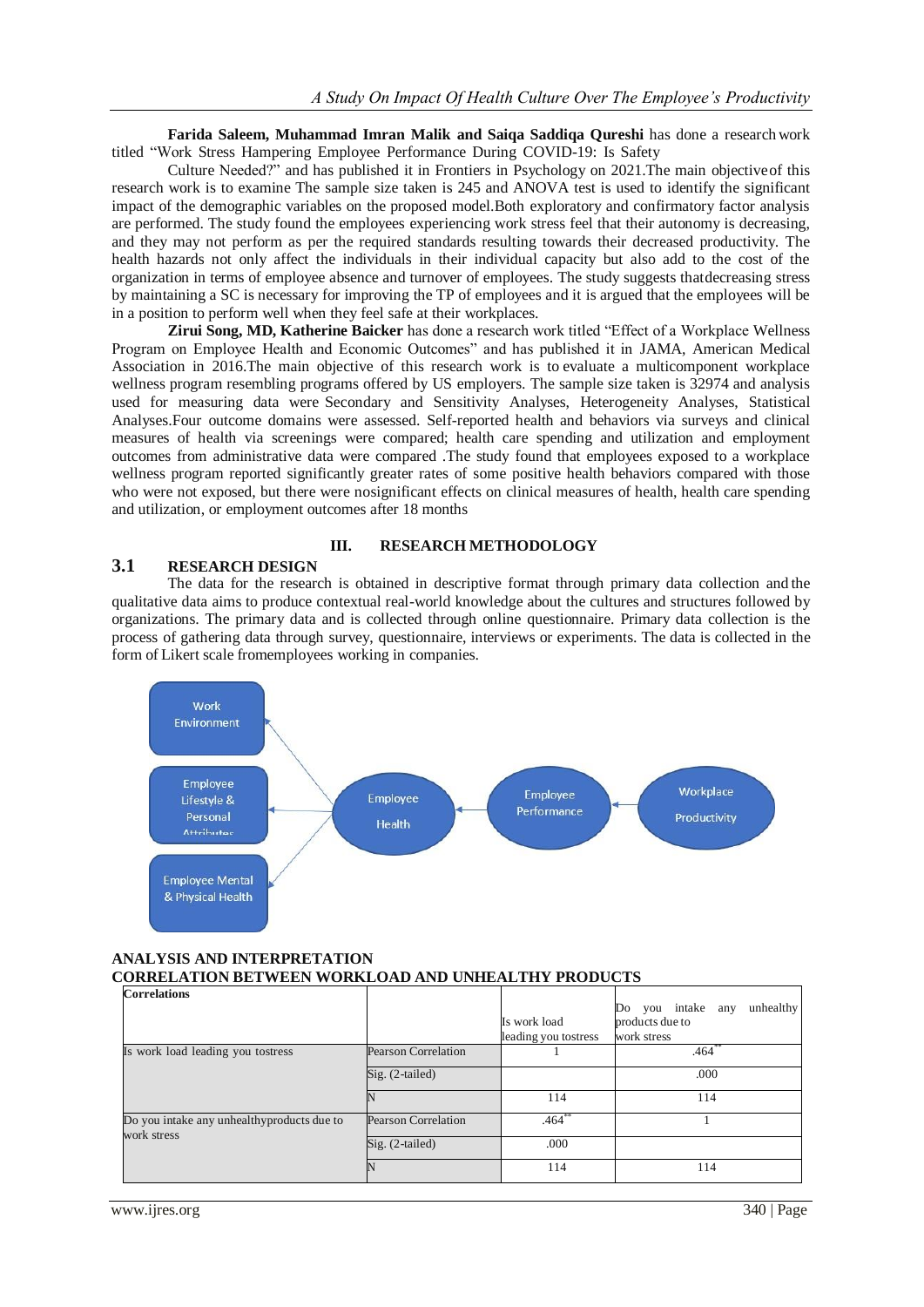**Farida Saleem, Muhammad Imran Malik and Saiqa Saddiqa Qureshi** has done a researchwork titled "Work Stress Hampering Employee Performance During COVID-19: Is Safety

Culture Needed?" and has published it in Frontiers in Psychology on 2021.The main objectiveof this research work is to examine The sample size taken is 245 and ANOVA test is used to identify the significant impact of the demographic variables on the proposed model.Both exploratory and confirmatory factor analysis are performed. The study found the employees experiencing work stress feel that their autonomy is decreasing, and they may not perform as per the required standards resulting towards their decreased productivity. The health hazards not only affect the individuals in their individual capacity but also add to the cost of the organization in terms of employee absence and turnover of employees. The study suggests thatdecreasing stress by maintaining a SC is necessary for improving the TP of employees and it is argued that the employees will be in a position to perform well when they feel safe at their workplaces.

**Zirui Song, MD, Katherine Baicker** has done a research work titled "Effect of a Workplace Wellness Program on Employee Health and Economic Outcomes" and has published it in JAMA, American Medical Association in 2016.The main objective of this research work is to evaluate a multicomponent workplace wellness program resembling programs offered by US employers. The sample size taken is 32974 and analysis used for measuring data were Secondary and Sensitivity Analyses, Heterogeneity Analyses, Statistical Analyses.Four outcome domains were assessed. Self-reported health and behaviors via surveys and clinical measures of health via screenings were compared; health care spending and utilization and employment outcomes from administrative data were compared .The study found that employees exposed to a workplace wellness program reported significantly greater rates of some positive health behaviors compared with those who were not exposed, but there were nosignificant effects on clinical measures of health, health care spending and utilization, or employment outcomes after 18 months

#### **III. RESEARCH METHODOLOGY 3.1 RESEARCH DESIGN**

The data for the research is obtained in descriptive format through primary data collection and the qualitative data aims to produce contextual real-world knowledge about the cultures and structures followed by organizations. The primary data and is collected through online questionnaire. Primary data collection is the process of gathering data through survey, questionnaire, interviews or experiments. The data is collected in the form of Likert scale fromemployees working in companies.



### **ANALYSIS AND INTERPRETATION CORRELATION BETWEEN WORKLOAD AND UNHEALTHY PRODUCTS**

| <b>Correlations</b>                                       |                            | Is work load<br>leading you tostress | you intake any<br>unhealthy<br>Do<br>products due to<br>work stress |
|-----------------------------------------------------------|----------------------------|--------------------------------------|---------------------------------------------------------------------|
| Is work load leading you tostress                         | <b>Pearson Correlation</b> |                                      | $.464$ <sup>*</sup>                                                 |
|                                                           | $Sig. (2-tailed)$          |                                      | .000                                                                |
|                                                           |                            | 114                                  | 114                                                                 |
| Do you intake any unhealthyproducts due to<br>work stress | Pearson Correlation        | $.464**$                             |                                                                     |
|                                                           | $Sig. (2-tailed)$          | .000                                 |                                                                     |
|                                                           |                            | 114                                  | 114                                                                 |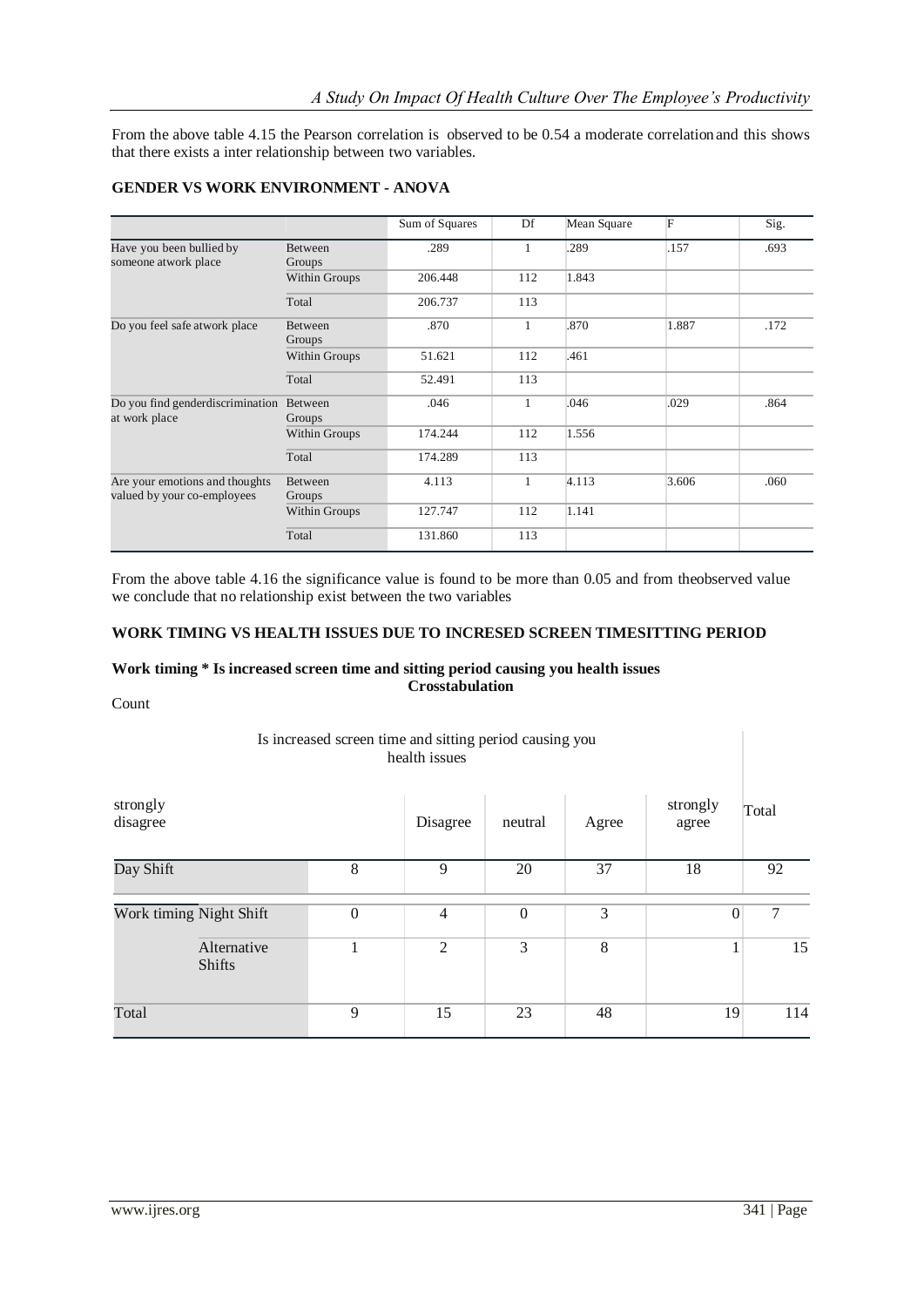From the above table 4.15 the Pearson correlation is observed to be 0.54 a moderate correlationand this shows that there exists a inter relationship between two variables.

|                                                               |                          | Sum of Squares | Df           | Mean Square | F     | Sig. |
|---------------------------------------------------------------|--------------------------|----------------|--------------|-------------|-------|------|
| Have you been bullied by<br>someone atwork place              | <b>Between</b><br>Groups | .289           | 1            | .289        | .157  | .693 |
|                                                               | Within Groups            | 206.448        | 112          | 1.843       |       |      |
|                                                               | Total                    | 206.737        | 113          |             |       |      |
| Do you feel safe atwork place                                 | <b>Between</b><br>Groups | .870           | 1            | .870        | 1.887 | .172 |
|                                                               | Within Groups            | 51.621         | 112          | .461        |       |      |
|                                                               | Total                    | 52.491         | 113          |             |       |      |
| Do you find gender discrimination<br>at work place            | Between<br>Groups        | .046           | $\mathbf{1}$ | .046        | .029  | .864 |
|                                                               | Within Groups            | 174.244        | 112          | 1.556       |       |      |
|                                                               | Total                    | 174.289        | 113          |             |       |      |
| Are your emotions and thoughts<br>valued by your co-employees | <b>Between</b><br>Groups | 4.113          | 1            | 4.113       | 3.606 | .060 |
|                                                               | Within Groups            | 127.747        | 112          | 1.141       |       |      |
|                                                               | Total                    | 131.860        | 113          |             |       |      |

## **GENDER VS WORK ENVIRONMENT - ANOVA**

From the above table 4.16 the significance value is found to be more than 0.05 and from theobserved value we conclude that no relationship exist between the two variables

#### **WORK TIMING VS HEALTH ISSUES DUE TO INCRESED SCREEN TIMESITTING PERIOD**

#### **Work timing \* Is increased screen time and sitting period causing you health issues Crosstabulation**

Count

### Is increased screen time and sitting period causing you health issues

| strongly<br>disagree                             |  |                  | Disagree       | neutral          | Agree | strongly<br>agree | Total |
|--------------------------------------------------|--|------------------|----------------|------------------|-------|-------------------|-------|
| Day Shift                                        |  | 8                | 9              | 20               | 37    | 18                | 92    |
| Work timing Night Shift<br>Alternative<br>Shifts |  | $\boldsymbol{0}$ | $\overline{4}$ | $\boldsymbol{0}$ | 3     | $\overline{0}$    | 7     |
|                                                  |  | $\overline{2}$   | 3              | 8                |       | 15                |       |
| Total                                            |  | 9                | 15             | 23               | 48    | 19                | 114   |